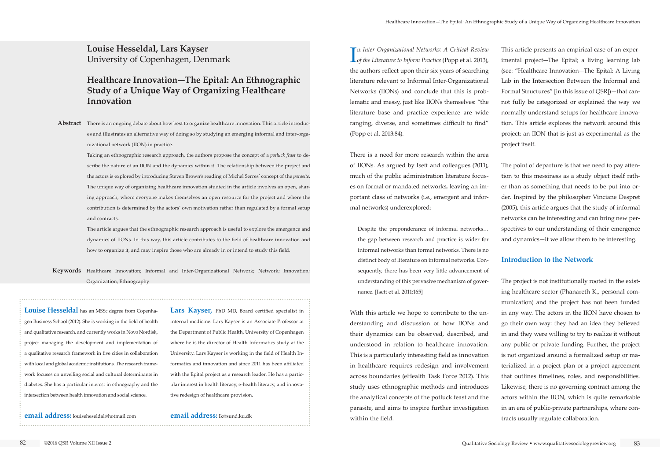I *of the Literature to Inform Practice* (Popp et al. 2013), n *Inter-Organizational Networks: A Critical Review*  the authors reflect upon their six years of searching literature relevant to Informal Inter-Organizational Networks (IIONs) and conclude that this is problematic and messy, just like IIONs themselves: "the literature base and practice experience are wide ranging, diverse, and sometimes difficult to find" (Popp et al. 2013:84).

There is a need for more research within the area of IIONs. As argued by Isett and colleagues (2011), much of the public administration literature focuses on formal or mandated networks, leaving an important class of networks (i.e., emergent and informal networks) underexplored:

Despite the preponderance of informal networks… the gap between research and practice is wider for informal networks than formal networks. There is no distinct body of literature on informal networks. Consequently, there has been very little advancement of understanding of this pervasive mechanism of governance. [Isett et al. 2011:165]

With this article we hope to contribute to the understanding and discussion of how IIONs and their dynamics can be observed, described, and understood in relation to healthcare innovation. This is a particularly interesting field as innovation in healthcare requires redesign and involvement across boundaries (eHealth Task Force 2012). This study uses ethnographic methods and introduces the analytical concepts of the potluck feast and the parasite, and aims to inspire further investigation within the field.

Abstract There is an ongoing debate about how best to organize healthcare innovation. This article introduces and illustrates an alternative way of doing so by studying an emerging informal and inter-organizational network (IION) in practice.

This article presents an empirical case of an experimental project—The Epital; a living learning lab (see: "Healthcare Innovation—The Epital: A Living Lab in the Intersection Between the Informal and Formal Structures" [in this issue of QSR])—that cannot fully be categorized or explained the way we normally understand setups for healthcare innovation. This article explores the network around this project: an IION that is just as experimental as the project itself.

The point of departure is that we need to pay attention to this messiness as a study object itself rather than as something that needs to be put into order. Inspired by the philosopher Vinciane Despret (2005), this article argues that the study of informal networks can be interesting and can bring new perspectives to our understanding of their emergence and dynamics—if we allow them to be interesting.

## **Introduction to the Network**

The project is not institutionally rooted in the existing healthcare sector (Phanareth K., personal communication) and the project has not been funded in any way. The actors in the IION have chosen to go their own way: they had an idea they believed in and they were willing to try to realize it without any public or private funding. Further, the project is not organized around a formalized setup or materialized in a project plan or a project agreement that outlines timelines, roles, and responsibilities. Likewise, there is no governing contract among the actors within the IION, which is quite remarkable in an era of public-private partnerships, where contracts usually regulate collaboration.

**Louise Hesseldal, Lars Kayser** University of Copenhagen, Denmark

# **Healthcare Innovation—The Epital: An Ethnographic Study of a Unique Way of Organizing Healthcare Innovation**

Taking an ethnographic research approach, the authors propose the concept of a *potluck feast* to describe the nature of an IION and the dynamics within it. The relationship between the project and the actors is explored by introducing Steven Brown's reading of Michel Serres' concept of the *parasite*. The unique way of organizing healthcare innovation studied in the article involves an open, sharing approach, where everyone makes themselves an open resource for the project and where the contribution is determined by the actors' own motivation rather than regulated by a formal setup and contracts.

**Keywords** Healthcare Innovation; Informal and Inter-Organizational Network; Network; Innovation; Organization; Ethnography

The article argues that the ethnographic research approach is useful to explore the emergence and dynamics of IIONs. In this way, this article contributes to the field of healthcare innovation and how to organize it, and may inspire those who are already in or intend to study this field.

**Louise Hesseldal** has an MSSc degree from Copenhagen Business School (2012). She is working in the field of health and qualitative research, and currently works in Novo Nordisk, project managing the development and implementation of a qualitative research framework in five cities in collaboration with local and global academic institutions. The research framework focuses on unveiling social and cultural determinants in diabetes. She has a particular interest in ethnography and the intersection between health innovation and social science.

**email address:** louiseheseldal@hotmail.com

**Lars Kayser,** PhD MD, Board certified specialist in internal medicine. Lars Kayser is an Associate Professor at the Department of Public Health, University of Copenhagen where he is the director of Health Informatics study at the University. Lars Kayser is working in the field of Health Informatics and innovation and since 2011 has been affiliated with the Epital project as a research leader. He has a particular interest in health literacy, e-health literacy, and innovative redesign of healthcare provision.

**email address:** lk@sund.ku.dk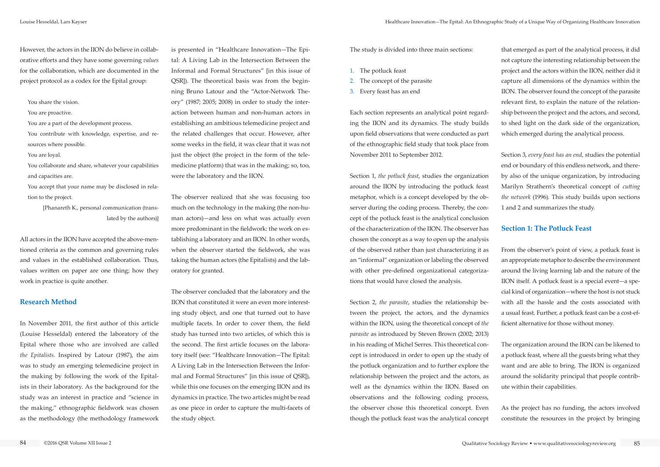However, the actors in the IION do believe in collaborative efforts and they have some governing *values* for the collaboration, which are documented in the project protocol as a codex for the Epital group:

You share the vision.

You are proactive.

You are a part of the development process.

You contribute with knowledge, expertise, and resources where possible.

#### You are loyal.

You collaborate and share, whatever your capabilities and capacities are.

You accept that your name may be disclosed in relation to the project.

> [Phanareth K., personal communication (translated by the authors)]

All actors in the IION have accepted the above-mentioned criteria as the common and governing rules and values in the established collaboration. Thus, values written on paper are one thing; how they work in practice is quite another.

## **Research Method**

In November 2011, the first author of this article (Louise Hesseldal) entered the laboratory of the Epital where those who are involved are called *the Epitalists*. Inspired by Latour (1987), the aim was to study an emerging telemedicine project in the making by following the work of the Epitalists in their laboratory. As the background for the study was an interest in practice and "science in the making," ethnographic fieldwork was chosen as the methodology (the methodology framework is presented in "Healthcare Innovation—The Epital: A Living Lab in the Intersection Between the Informal and Formal Structures" [in this issue of QSR]). The theoretical basis was from the beginning Bruno Latour and the "Actor-Network Theory" (1987; 2005; 2008) in order to study the interaction between human and non-human actors in establishing an ambitious telemedicine project and the related challenges that occur. However, after some weeks in the field, it was clear that it was not just the object (the project in the form of the telemedicine platform) that was in the making; so, too, were the laboratory and the IION.

The observer realized that she was focusing too much on the technology in the making (the non-human actors)—and less on what was actually even more predominant in the fieldwork: the work on establishing a laboratory and an IION. In other words, when the observer started the fieldwork, she was taking the human actors (the Epitalists) and the laboratory for granted.

The observer concluded that the laboratory and the IION that constituted it were an even more interesting study object, and one that turned out to have multiple facets. In order to cover them, the field study has turned into two articles, of which this is the second. The first article focuses on the laboratory itself (see: "Healthcare Innovation—The Epital: A Living Lab in the Intersection Between the Informal and Formal Structures" [in this issue of QSR]), while this one focuses on the emerging IION and its dynamics in practice. The two articles might be read as one piece in order to capture the multi-facets of the study object.

The study is divided into three main sections:

- 1. The potluck feast
- 2. The concept of the parasite
- 3. Every feast has an end

Each section represents an analytical point regarding the IION and its dynamics. The study builds upon field observations that were conducted as part of the ethnographic field study that took place from November 2011 to September 2012.

Section 1, *the potluck feast*, studies the organization around the IION by introducing the potluck feast metaphor, which is a concept developed by the observer during the coding process. Thereby, the concept of the potluck feast is the analytical conclusion of the characterization of the IION. The observer has chosen the concept as a way to open up the analysis of the observed rather than just characterizing it as an "informal" organization or labeling the observed with other pre-defined organizational categorizations that would have closed the analysis.

Section 2, *the parasite*, studies the relationship between the project, the actors, and the dynamics within the IION, using the theoretical concept of *the parasite* as introduced by Steven Brown (2002; 2013) in his reading of Michel Serres. This theoretical concept is introduced in order to open up the study of the potluck organization and to further explore the relationship between the project and the actors, as well as the dynamics within the IION. Based on observations and the following coding process, the observer chose this theoretical concept. Even though the potluck feast was the analytical concept

that emerged as part of the analytical process, it did not capture the interesting relationship between the project and the actors within the IION, neither did it capture all dimensions of the dynamics within the IION. The observer found the concept of the parasite relevant first, to explain the nature of the relationship between the project and the actors, and second, to shed light on the dark side of the organization, which emerged during the analytical process.

Section 3, *every feast has an end*, studies the potential end or boundary of this endless network, and thereby also of the unique organization, by introducing Marilyn Strathern's theoretical concept of *cutting the network* (1996). This study builds upon sections 1 and 2 and summarizes the study.

## **Section 1: The Potluck Feast**

From the observer's point of view, a potluck feast is an appropriate metaphor to describe the environment around the living learning lab and the nature of the IION itself. A potluck feast is a special event—a special kind of organization—where the host is not stuck with all the hassle and the costs associated with a usual feast. Further, a potluck feast can be a cost-efficient alternative for those without money.

The organization around the IION can be likened to a potluck feast, where all the guests bring what they want and are able to bring. The IION is organized around the solidarity principal that people contribute within their capabilities.

As the project has no funding, the actors involved constitute the resources in the project by bringing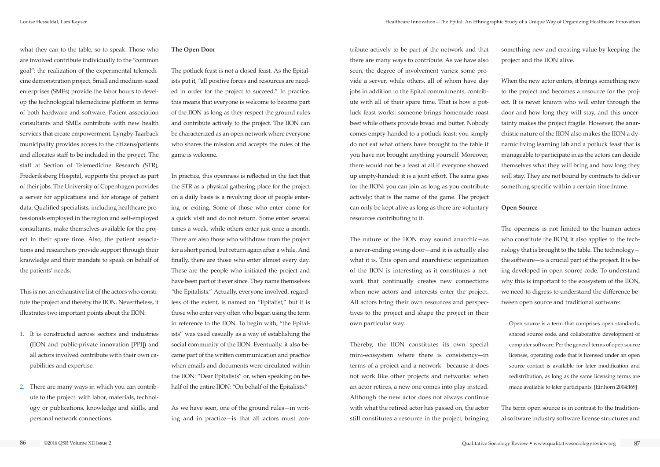what they can to the table, so to speak. Those who are involved contribute individually to the "common goal": the realization of the experimental telemedicine demonstration project. Small and medium-sized enterprises (SMEs) provide the labor hours to develop the technological telemedicine platform in terms of both hardware and software. Patient association consultants and SMEs contribute with new health services that create empowerment. Lyngby-Taarbaek municipality provides access to the citizens/patients and allocates staff to be included in the project. The staff at Section of Telemedicine Research (STR), Frederiksberg Hospital, supports the project as part of their jobs. The University of Copenhagen provides a server for applications and for storage of patient data. Qualified specialists, including healthcare professionals employed in the region and self-employed consultants, make themselves available for the project in their spare time. Also, the patient associations and researchers provide support through their knowledge and their mandate to speak on behalf of the patients' needs.

This is not an exhaustive list of the actors who constitute the project and thereby the IION. Nevertheless, it illustrates two important points about the IION:

- 1. It is constructed across sectors and industries (IION and public-private innovation [PPI]) and all actors involved contribute with their own capabilities and expertise.
- 2. There are many ways in which you can contribute to the project: with labor, materials, technology or publications, knowledge and skills, and personal network connections.

#### **The Open Door**

The potluck feast is not a closed feast. As the Epitalists put it, "all positive forces and resources are needed in order for the project to succeed." In practice, this means that everyone is welcome to become part of the IION as long as they respect the ground rules and contribute actively to the project. The IION can be characterized as an open network where everyone who shares the mission and accepts the rules of the game is welcome.

In practice, this openness is reflected in the fact that the STR as a physical gathering place for the project on a daily basis is a revolving door of people entering or exiting. Some of those who enter come for a quick visit and do not return. Some enter several times a week, while others enter just once a month. There are also those who withdraw from the project for a short period, but return again after a while. And finally, there are those who enter almost every day. These are the people who initiated the project and have been part of it ever since. They name themselves "the Epitalists." Actually, everyone involved, regardless of the extent, is named an "Epitalist," but it is those who enter very often who began using the term in reference to the IION. To begin with, "the Epitalists" was used casually as a way of establishing the social community of the IION. Eventually, it also became part of the written communication and practice when emails and documents were circulated within the IION: "Dear Epitalists" or, when speaking on behalf of the entire IION: "On behalf of the Epitalists."

As we have seen, one of the ground rules—in writing and in practice—is that all actors must contribute actively to be part of the network and that there are many ways to contribute. As we have also seen, the degree of involvement varies: some provide a server, while others, all of whom have day jobs in addition to the Epital commitments, contribute with all of their spare time. That is how a potluck feast works: someone brings homemade roast beef while others provide bread and butter. Nobody comes empty-handed to a potluck feast: you simply do not eat what others have brought to the table if you have not brought anything yourself. Moreover, there would not be a feast at all if everyone showed up empty-handed: it is a joint effort. The same goes for the IION: you can join as long as you contribute actively; that is the name of the game. The project can only be kept alive as long as there are voluntary resources contributing to it.

The nature of the IION may sound anarchic—as a never-ending swing-door—and it is actually also what it is. This open and anarchistic organization of the IION is interesting as it constitutes a network that continually creates new connections when new actors and interests enter the project. All actors bring their own resources and perspectives to the project and shape the project in their own particular way.

Thereby, the IION constitutes its own special mini-ecosystem where there is consistency—in terms of a project and a network—because it does not work like other projects and networks: when an actor retires, a new one comes into play instead. Although the new actor does not always continue with what the retired actor has passed on, the actor still constitutes a resource in the project, bringing

something new and creating value by keeping the project and the IION alive.

When the new actor enters, it brings something new to the project and becomes a resource for the project. It is never known who will enter through the door and how long they will stay, and this uncertainty makes the project fragile. However, the anarchistic nature of the IION also makes the IION a dynamic living learning lab and a potluck feast that is manageable to participate in as the actors can decide themselves what they will bring and how long they will stay. They are not bound by contracts to deliver something specific within a certain time frame.

## **Open Source**

The openness is not limited to the human actors who constitute the IION; it also applies to the technology that is brought to the table. The technology the software—is a crucial part of the project. It is being developed in open source code. To understand why this is important to the ecosystem of the IION, we need to digress to understand the difference between open source and traditional software:

Open source is a term that comprises open standards, shared source code, and collaborative development of computer software. Per the general terms of open source licenses, operating code that is licensed under an open source contact is available for later modification and redistribution, as long as the same licensing terms are made available to later participants. [Einhorn 2004:169]

The term open source is in contrast to the traditional software industry software license structures and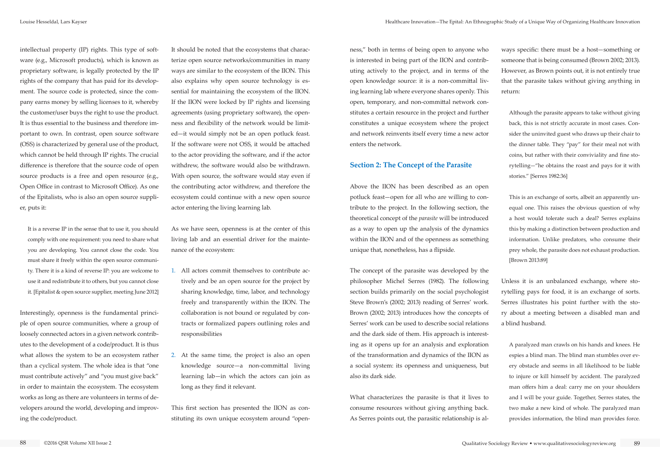intellectual property (IP) rights. This type of software (e.g., Microsoft products), which is known as proprietary software, is legally protected by the IP rights of the company that has paid for its development. The source code is protected, since the company earns money by selling licenses to it, whereby the customer/user buys the right to use the product. It is thus essential to the business and therefore important to own. In contrast, open source software (OSS) is characterized by general use of the product, which cannot be held through IP rights. The crucial difference is therefore that the source code of open source products is a free and open resource (e.g., Open Office in contrast to Microsoft Office). As one of the Epitalists, who is also an open source supplier, puts it:

It is a reverse IP in the sense that to use it, you should comply with one requirement: you need to share what you are developing. You cannot close the code. You must share it freely within the open source community. There it is a kind of reverse IP: you are welcome to use it and redistribute it to others, but you cannot close it. [Epitalist & open source supplier, meeting June 2012]

Interestingly, openness is the fundamental principle of open source communities, where a group of loosely connected actors in a given network contributes to the development of a code/product. It is thus what allows the system to be an ecosystem rather than a cyclical system. The whole idea is that "one must contribute actively" and "you must give back" in order to maintain the ecosystem. The ecosystem works as long as there are volunteers in terms of developers around the world, developing and improving the code/product.

It should be noted that the ecosystems that characterize open source networks/communities in many ways are similar to the ecosystem of the IION. This also explains why open source technology is essential for maintaining the ecosystem of the IION. If the IION were locked by IP rights and licensing agreements (using proprietary software), the openness and flexibility of the network would be limited—it would simply not be an open potluck feast. If the software were not OSS, it would be attached to the actor providing the software, and if the actor withdrew, the software would also be withdrawn. With open source, the software would stay even if the contributing actor withdrew, and therefore the ecosystem could continue with a new open source actor entering the living learning lab.

As we have seen, openness is at the center of this living lab and an essential driver for the maintenance of the ecosystem:

- 1. All actors commit themselves to contribute actively and be an open source for the project by sharing knowledge, time, labor, and technology freely and transparently within the IION. The collaboration is not bound or regulated by contracts or formalized papers outlining roles and responsibilities
- 2. At the same time, the project is also an open knowledge source—a non-committal living learning lab—in which the actors can join as long as they find it relevant.

This first section has presented the IION as constituting its own unique ecosystem around "openness," both in terms of being open to anyone who is interested in being part of the IION and contributing actively to the project, and in terms of the open knowledge source: it is a non-committal living learning lab where everyone shares openly. This open, temporary, and non-committal network constitutes a certain resource in the project and further constitutes a unique ecosystem where the project and network reinvents itself every time a new actor enters the network.

## **Section 2: The Concept of the Parasite**

Above the IION has been described as an open potluck feast—open for all who are willing to contribute to the project. In the following section, the theoretical concept of the *parasite* will be introduced as a way to open up the analysis of the dynamics within the IION and of the openness as something unique that, nonetheless, has a flipside.

The concept of the parasite was developed by the philosopher Michel Serres (1982). The following section builds primarily on the social psychologist Steve Brown's (2002; 2013) reading of Serres' work. Brown (2002; 2013) introduces how the concepts of Serres' work can be used to describe social relations and the dark side of them. His approach is interesting as it opens up for an analysis and exploration of the transformation and dynamics of the IION as a social system: its openness and uniqueness, but also its dark side.

What characterizes the parasite is that it lives to consume resources without giving anything back. As Serres points out, the parasitic relationship is al-

ways specific: there must be a host—something or someone that is being consumed (Brown 2002; 2013). However, as Brown points out, it is not entirely true that the parasite takes without giving anything in return:

Although the parasite appears to take without giving back, this is not strictly accurate in most cases. Consider the uninvited guest who draws up their chair to the dinner table. They "pay" for their meal not with coins, but rather with their conviviality and fine storytelling—"he obtains the roast and pays for it with stories." [Serres 1982:36]

This is an exchange of sorts, albeit an apparently unequal one. This raises the obvious question of why a host would tolerate such a deal? Serres explains this by making a distinction between production and information. Unlike predators, who consume their prey whole, the parasite does not exhaust production. [Brown 2013:89]

Unless it is an unbalanced exchange, where storytelling pays for food, it is an exchange of sorts. Serres illustrates his point further with the story about a meeting between a disabled man and a blind husband.

A paralyzed man crawls on his hands and knees. He espies a blind man. The blind man stumbles over every obstacle and seems in all likelihood to be liable to injure or kill himself by accident. The paralyzed man offers him a deal: carry me on your shoulders and I will be your guide. Together, Serres states, the two make a new kind of whole. The paralyzed man provides information, the blind man provides force.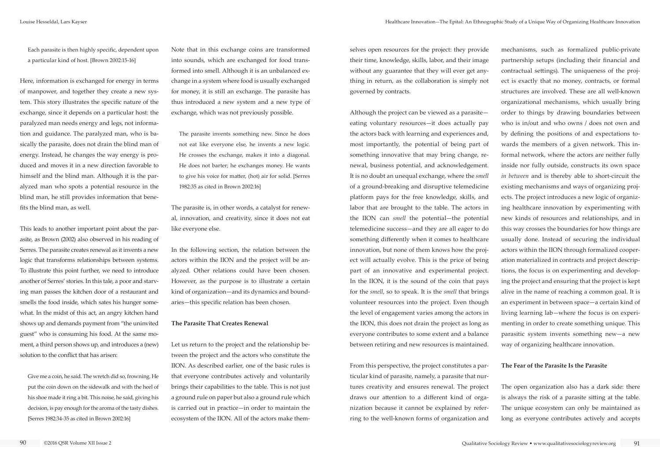Each parasite is then highly specific, dependent upon a particular kind of host. [Brown 2002:15-16]

Here, information is exchanged for energy in terms of manpower, and together they create a new system. This story illustrates the specific nature of the exchange, since it depends on a particular host: the paralyzed man needs energy and legs, not information and guidance. The paralyzed man, who is basically the parasite, does not drain the blind man of energy. Instead, he changes the way energy is produced and moves it in a new direction favorable to himself and the blind man. Although it is the paralyzed man who spots a potential resource in the blind man, he still provides information that benefits the blind man, as well.

This leads to another important point about the parasite, as Brown (2002) also observed in his reading of Serres. The parasite creates renewal as it invents a new logic that transforms relationships between systems. To illustrate this point further, we need to introduce another of Serres' stories. In this tale, a poor and starving man passes the kitchen door of a restaurant and smells the food inside, which sates his hunger somewhat. In the midst of this act, an angry kitchen hand shows up and demands payment from "the uninvited guest" who is consuming his food. At the same moment, a third person shows up, and introduces a (new) solution to the conflict that has arisen:

Give me a coin, he said. The wretch did so, frowning. He put the coin down on the sidewalk and with the heel of his shoe made it ring a bit. This noise, he said, giving his decision, is pay enough for the aroma of the tasty dishes. [Serres 1982:34-35 as cited in Brown 2002:16]

Note that in this exchange coins are transformed into sounds, which are exchanged for food transformed into smell. Although it is an unbalanced exchange in a system where food is usually exchanged for money, it is still an exchange. The parasite has thus introduced a new system and a new type of exchange, which was not previously possible.

The parasite invents something new. Since he does not eat like everyone else, he invents a new logic. He crosses the exchange, makes it into a diagonal. He does not barter; he exchanges money. He wants to give his voice for matter, (hot) air for solid. [Serres 1982:35 as cited in Brown 2002:16]

The parasite is, in other words, a catalyst for renewal, innovation, and creativity, since it does not eat like everyone else.

In the following section, the relation between the actors within the IION and the project will be analyzed. Other relations could have been chosen. However, as the purpose is to illustrate a certain kind of organization—and its dynamics and boundaries—this specific relation has been chosen.

#### **The Parasite That Creates Renewal**

Let us return to the project and the relationship between the project and the actors who constitute the IION. As described earlier, one of the basic rules is that everyone contributes actively and voluntarily brings their capabilities to the table. This is not just a ground rule on paper but also a ground rule which is carried out in practice—in order to maintain the ecosystem of the IION. All of the actors make themselves open resources for the project: they provide their time, knowledge, skills, labor, and their image without any guarantee that they will ever get anything in return, as the collaboration is simply not governed by contracts.

Although the project can be viewed as a parasite eating voluntary resources—it does actually pay the actors back with learning and experiences and, most importantly, the potential of being part of something innovative that may bring change, renewal, business potential, and acknowledgement. It is no doubt an unequal exchange, where the *smell* of a ground-breaking and disruptive telemedicine platform pays for the free knowledge, skills, and labor that are brought to the table. The actors in the IION can *smell* the potential—the potential telemedicine success—and they are all eager to do something differently when it comes to healthcare innovation, but none of them knows how the project will actually evolve. This is the price of being part of an innovative and experimental project. In the IION, it is the sound of the coin that pays for the *smell*, so to speak. It is the *smell* that brings volunteer resources into the project. Even though the level of engagement varies among the actors in the IION, this does not drain the project as long as everyone contributes to some extent and a balance between retiring and new resources is maintained.

From this perspective, the project constitutes a particular kind of parasite, namely, a parasite that nurtures creativity and ensures renewal. The project draws our attention to a different kind of organization because it cannot be explained by referring to the well-known forms of organization and

mechanisms, such as formalized public-private partnership setups (including their financial and contractual settings). The uniqueness of the project is exactly that no money, contracts, or formal structures are involved. These are all well-known organizational mechanisms, which usually bring order to things by drawing boundaries between who is in/out and who owns / does not own and by defining the positions of and expectations towards the members of a given network. This informal network, where the actors are neither fully inside nor fully outside, constructs its own space *in between* and is thereby able to short-circuit the existing mechanisms and ways of organizing projects. The project introduces a new logic of organizing healthcare innovation by experimenting with new kinds of resources and relationships, and in this way crosses the boundaries for how things are usually done. Instead of securing the individual actors within the IION through formalized cooperation materialized in contracts and project descriptions, the focus is on experimenting and developing the project and ensuring that the project is kept alive in the name of reaching a common goal. It is an experiment in between space—a certain kind of living learning lab—where the focus is on experimenting in order to create something unique. This parasitic system invents something new—a new way of organizing healthcare innovation.

#### **The Fear of the Parasite Is the Parasite**

The open organization also has a dark side: there is always the risk of a parasite sitting at the table. The unique ecosystem can only be maintained as long as everyone contributes actively and accepts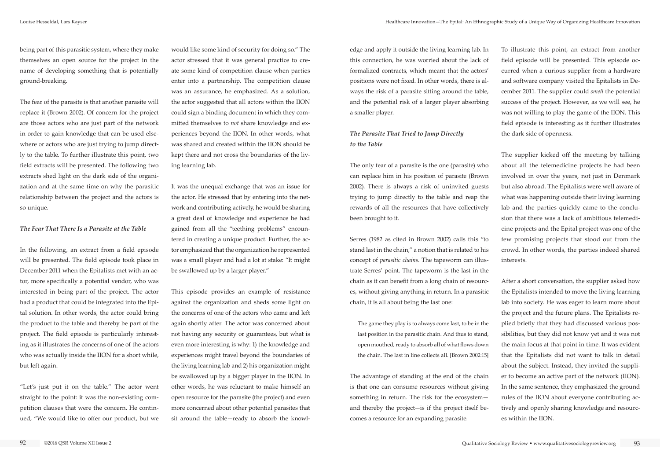being part of this parasitic system, where they make themselves an open source for the project in the name of developing something that is potentially ground-breaking.

The fear of the parasite is that another parasite will replace it (Brown 2002). Of concern for the project are those actors who are just part of the network in order to gain knowledge that can be used elsewhere or actors who are just trying to jump directly to the table. To further illustrate this point, two field extracts will be presented. The following two extracts shed light on the dark side of the organization and at the same time on why the parasitic relationship between the project and the actors is so unique.

#### *The Fear That There Is a Parasite at the Table*

In the following, an extract from a field episode will be presented. The field episode took place in December 2011 when the Epitalists met with an actor, more specifically a potential vendor, who was interested in being part of the project. The actor had a product that could be integrated into the Epital solution. In other words, the actor could bring the product to the table and thereby be part of the project. The field episode is particularly interesting as it illustrates the concerns of one of the actors who was actually inside the IION for a short while, but left again.

"Let's just put it on the table." The actor went straight to the point: it was the non-existing competition clauses that were the concern. He continued, "We would like to offer our product, but we

would like some kind of security for doing so." The actor stressed that it was general practice to create some kind of competition clause when parties enter into a partnership. The competition clause was an assurance, he emphasized. As a solution, the actor suggested that all actors within the IION could sign a binding document in which they committed themselves to *not* share knowledge and experiences beyond the IION. In other words, what was shared and created within the IION should be kept there and not cross the boundaries of the living learning lab.

It was the unequal exchange that was an issue for the actor. He stressed that by entering into the network and contributing actively, he would be sharing a great deal of knowledge and experience he had gained from all the "teething problems" encountered in creating a unique product. Further, the actor emphasized that the organization he represented was a small player and had a lot at stake: "It might be swallowed up by a larger player."

This episode provides an example of resistance against the organization and sheds some light on the concerns of one of the actors who came and left again shortly after. The actor was concerned about not having any security or guarantees, but what is even more interesting is why: 1) the knowledge and experiences might travel beyond the boundaries of the living learning lab and 2) his organization might be swallowed up by a bigger player in the IION. In other words, he was reluctant to make himself an open resource for the parasite (the project) and even more concerned about other potential parasites that sit around the table—ready to absorb the knowledge and apply it outside the living learning lab. In this connection, he was worried about the lack of formalized contracts, which meant that the actors' positions were not fixed. In other words, there is always the risk of a parasite sitting around the table, and the potential risk of a larger player absorbing a smaller player.

## *The Parasite That Tried to Jump Directly to the Table*

The only fear of a parasite is the one (parasite) who can replace him in his position of parasite (Brown 2002). There is always a risk of uninvited guests trying to jump directly to the table and reap the rewards of all the resources that have collectively been brought to it.

Serres (1982 as cited in Brown 2002) calls this "to stand last in the chain," a notion that is related to his concept of *parasitic chains*. The tapeworm can illustrate Serres' point. The tapeworm is the last in the chain as it can benefit from a long chain of resources, without giving anything in return. In a parasitic chain, it is all about being the last one:

The game they play is to always come last, to be in the last position in the parasitic chain. And thus to stand, open mouthed, ready to absorb all of what flows down the chain. The last in line collects all. [Brown 2002:15]

The advantage of standing at the end of the chain is that one can consume resources without giving something in return. The risk for the ecosystem and thereby the project—is if the project itself becomes a resource for an expanding parasite.

To illustrate this point, an extract from another field episode will be presented. This episode occurred when a curious supplier from a hardware and software company visited the Epitalists in December 2011. The supplier could *smell* the potential success of the project. However, as we will see, he was not willing to play the game of the IION. This field episode is interesting as it further illustrates the dark side of openness.

The supplier kicked off the meeting by talking about all the telemedicine projects he had been involved in over the years, not just in Denmark but also abroad. The Epitalists were well aware of what was happening outside their living learning lab and the parties quickly came to the conclusion that there was a lack of ambitious telemedicine projects and the Epital project was one of the few promising projects that stood out from the crowd. In other words, the parties indeed shared interests.

After a short conversation, the supplier asked how the Epitalists intended to move the living learning lab into society. He was eager to learn more about the project and the future plans. The Epitalists replied briefly that they had discussed various possibilities, but they did not know yet and it was not the main focus at that point in time. It was evident that the Epitalists did not want to talk in detail about the subject. Instead, they invited the supplier to become an active part of the network (IION). In the same sentence, they emphasized the ground rules of the IION about everyone contributing actively and openly sharing knowledge and resources within the IION.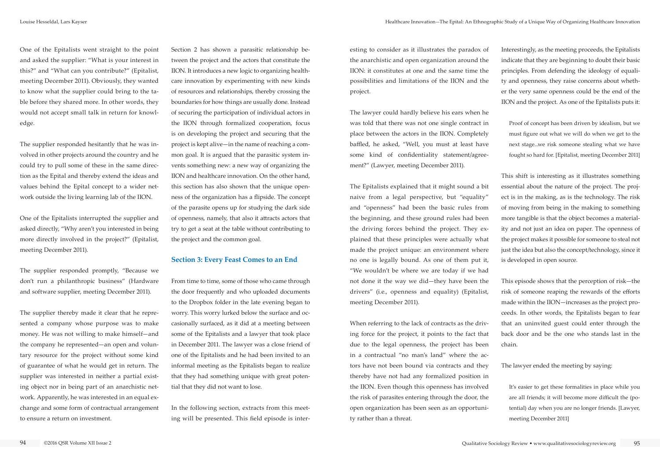One of the Epitalists went straight to the point and asked the supplier: "What is your interest in this?" and "What can you contribute?" (Epitalist, meeting December 2011). Obviously, they wanted to know what the supplier could bring to the table before they shared more. In other words, they would not accept small talk in return for knowledge.

The supplier responded hesitantly that he was involved in other projects around the country and he could try to pull some of these in the same direction as the Epital and thereby extend the ideas and values behind the Epital concept to a wider network outside the living learning lab of the IION.

One of the Epitalists interrupted the supplier and asked directly, "Why aren't you interested in being more directly involved in the project?" (Epitalist, meeting December 2011).

The supplier responded promptly, "Because we don't run a philanthropic business" (Hardware and software supplier, meeting December 2011).

The supplier thereby made it clear that he represented a company whose purpose was to make money. He was not willing to make himself—and the company he represented—an open and voluntary resource for the project without some kind of guarantee of what he would get in return. The supplier was interested in neither a partial existing object nor in being part of an anarchistic network. Apparently, he was interested in an equal exchange and some form of contractual arrangement to ensure a return on investment.

Section 2 has shown a parasitic relationship between the project and the actors that constitute the IION. It introduces a new logic to organizing healthcare innovation by experimenting with new kinds of resources and relationships, thereby crossing the boundaries for how things are usually done. Instead of securing the participation of individual actors in the IION through formalized cooperation, focus is on developing the project and securing that the project is kept alive—in the name of reaching a common goal. It is argued that the parasitic system invents something new: a new way of organizing the IION and healthcare innovation. On the other hand, this section has also shown that the unique openness of the organization has a flipside. The concept of the parasite opens up for studying the dark side of openness, namely, that also it attracts actors that try to get a seat at the table without contributing to the project and the common goal.

### **Section 3: Every Feast Comes to an End**

From time to time, some of those who came through the door frequently and who uploaded documents to the Dropbox folder in the late evening began to worry. This worry lurked below the surface and occasionally surfaced, as it did at a meeting between some of the Epitalists and a lawyer that took place in December 2011. The lawyer was a close friend of one of the Epitalists and he had been invited to an informal meeting as the Epitalists began to realize that they had something unique with great potential that they did not want to lose.

In the following section, extracts from this meeting will be presented. This field episode is interesting to consider as it illustrates the paradox of the anarchistic and open organization around the IION: it constitutes at one and the same time the possibilities and limitations of the IION and the project.

The lawyer could hardly believe his ears when he was told that there was not one single contract in place between the actors in the IION. Completely baffled, he asked, "Well, you must at least have some kind of confidentiality statement/agreement?" (Lawyer, meeting December 2011).

The Epitalists explained that it might sound a bit naive from a legal perspective, but "equality" and "openness" had been the basic rules from the beginning, and these ground rules had been the driving forces behind the project. They explained that these principles were actually what made the project unique: an environment where no one is legally bound. As one of them put it, "We wouldn't be where we are today if we had not done it the way we did—they have been the drivers" (i.e., openness and equality) (Epitalist, meeting December 2011).

When referring to the lack of contracts as the driving force for the project, it points to the fact that due to the legal openness, the project has been in a contractual "no man's land" where the actors have not been bound via contracts and they thereby have not had any formalized position in the IION. Even though this openness has involved the risk of parasites entering through the door, the open organization has been seen as an opportunity rather than a threat.

Interestingly, as the meeting proceeds, the Epitalists indicate that they are beginning to doubt their basic principles. From defending the ideology of equality and openness, they raise concerns about whether the very same openness could be the end of the IION and the project. As one of the Epitalists puts it:

Proof of concept has been driven by idealism, but we must figure out what we will do when we get to the next stage...we risk someone stealing what we have fought so hard for. [Epitalist, meeting December 2011]

This shift is interesting as it illustrates something essential about the nature of the project. The project is in the making, as is the technology. The risk of moving from being in the making to something more tangible is that the object becomes a materiality and not just an idea on paper. The openness of the project makes it possible for someone to steal not just the idea but also the concept/technology, since it is developed in open source.

This episode shows that the perception of risk—the risk of someone reaping the rewards of the efforts made within the IION—increases as the project proceeds. In other words, the Epitalists began to fear that an uninvited guest could enter through the back door and be the one who stands last in the chain.

The lawyer ended the meeting by saying:

It's easier to get these formalities in place while you are all friends; it will become more difficult the (potential) day when you are no longer friends. [Lawyer, meeting December 2011]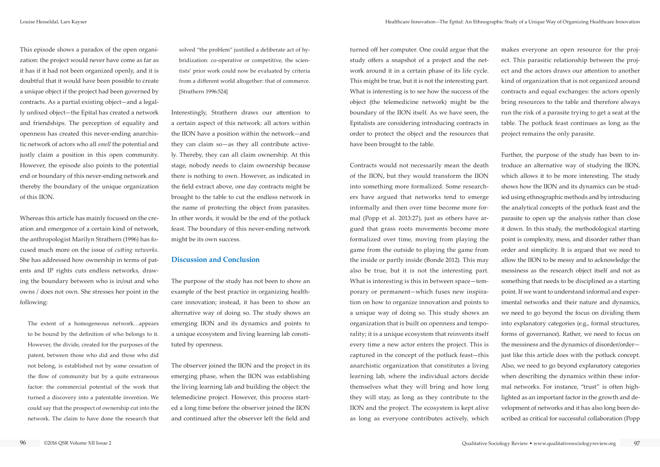turned off her computer. One could argue that the study offers a snapshot of a project and the network around it in a certain phase of its life cycle. This might be true, but it is not the interesting part. What is interesting is to see how the success of the object (the telemedicine network) might be the boundary of the IION itself. As we have seen, the Epitalists are considering introducing contracts in order to protect the object and the resources that have been brought to the table.

Contracts would not necessarily mean the death of the IION, but they would transform the IION into something more formalized. Some researchers have argued that networks tend to emerge informally and then over time become more formal (Popp et al. 2013:27), just as others have argued that grass roots movements become more formalized over time, moving from playing the game from the outside to playing the game from the inside or partly inside (Bonde 2012). This may also be true, but it is not the interesting part. What is interesting is this in between space—temporary or permanent—which fuses new inspiration on how to organize innovation and points to a unique way of doing so. This study shows an organization that is built on openness and temporality; it is a unique ecosystem that reinvents itself every time a new actor enters the project. This is captured in the concept of the potluck feast—this anarchistic organization that constitutes a living learning lab, where the individual actors decide themselves what they will bring and how long they will stay, as long as they contribute to the IION and the project. The ecosystem is kept alive as long as everyone contributes actively, which

makes everyone an open resource for the project. This parasitic relationship between the project and the actors draws our attention to another kind of organization that is not organized around contracts and equal exchanges: the actors openly bring resources to the table and therefore always run the risk of a parasite trying to get a seat at the table. The potluck feast continues as long as the project remains the only parasite.

Further, the purpose of the study has been to introduce an alternative way of studying the IION, which allows it to be more interesting. The study shows how the IION and its dynamics can be studied using ethnographic methods and by introducing the analytical concepts of the potluck feast and the parasite to open up the analysis rather than close it down. In this study, the methodological starting point is complexity, mess, and disorder rather than order and simplicity. It is argued that we need to allow the IION to be messy and to acknowledge the messiness as the research object itself and not as something that needs to be disciplined as a starting point. If we want to understand informal and experimental networks and their nature and dynamics, we need to go beyond the focus on dividing them into explanatory categories (e.g., formal structures, forms of governance). Rather, we need to focus on the messiness and the dynamics of disorder/order just like this article does with the potluck concept. Also, we need to go beyond explanatory categories when describing the dynamics within these informal networks. For instance, "trust" is often highlighted as an important factor in the growth and development of networks and it has also long been described as critical for successful collaboration (Popp

This episode shows a paradox of the open organization: the project would never have come as far as it has if it had not been organized openly, and it is doubtful that it would have been possible to create a unique object if the project had been governed by contracts. As a partial existing object—and a legally unfixed object—the Epital has created a network and friendships. The perception of equality and openness has created this never-ending anarchistic network of actors who all *smell* the potential and justly claim a position in this open community. However, the episode also points to the potential end or boundary of this never-ending network and thereby the boundary of the unique organization of this IION.

Whereas this article has mainly focused on the creation and emergence of a certain kind of network, the anthropologist Marilyn Strathern (1996) has focused much more on the issue of *cutting networks*. She has addressed how ownership in terms of patents and IP rights cuts endless networks, drawing the boundary between who is in/out and who owns / does not own. She stresses her point in the following:

The extent of a homogeneous network…appears to be bound by the definition of who belongs to it. However, the divide, created for the purposes of the patent, between those who did and those who did not belong, is established not by some cessation of the flow of community but by a quite extraneous factor: the commercial potential of the work that turned a discovery into a patentable invention. We could say that the prospect of ownership cut into the network. The claim to have done the research that

solved "the problem" justified a deliberate act of hybridization: co-operative or competitive, the scientists' prior work could now be evaluated by criteria from a different world altogether: that of commerce. [Strathern 1996:524]

Interestingly, Strathern draws our attention to a certain aspect of this network: all actors within the IION have a position within the network—and they can claim so—as they all contribute actively. Thereby, they can all claim ownership. At this stage, nobody needs to claim ownership because there is nothing to own. However, as indicated in the field extract above, one day contracts might be brought to the table to cut the endless network in the name of protecting the object from parasites. In other words, it would be the end of the potluck feast. The boundary of this never-ending network might be its own success.

### **Discussion and Conclusion**

The purpose of the study has not been to show an example of the best practice in organizing healthcare innovation; instead, it has been to show an alternative way of doing so. The study shows an emerging IION and its dynamics and points to a unique ecosystem and living learning lab constituted by openness.

The observer joined the IION and the project in its emerging phase, when the IION was establishing the living learning lab and building the object: the telemedicine project. However, this process started a long time before the observer joined the IION and continued after the observer left the field and